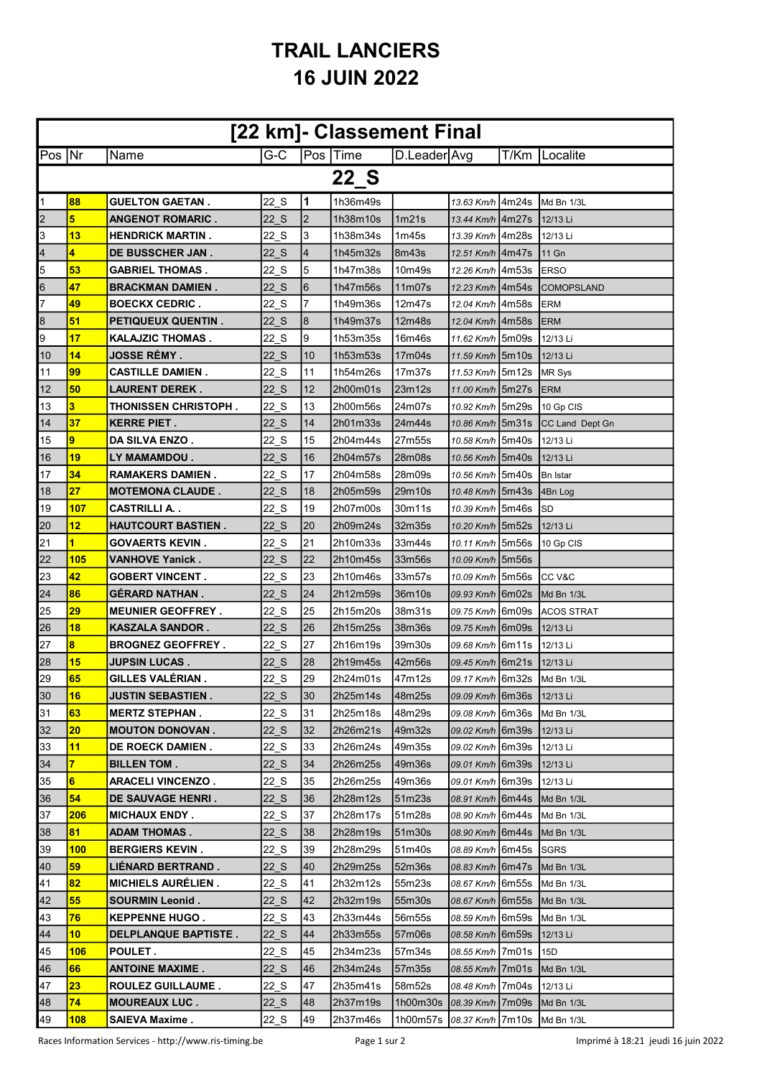## **TRAIL LANCIERS 16 JUIN 2022**

| [22 km]- Classement Final |                 |                              |          |                |          |                                                       |                               |      |                                 |  |
|---------------------------|-----------------|------------------------------|----------|----------------|----------|-------------------------------------------------------|-------------------------------|------|---------------------------------|--|
| $Pos$ Nr                  |                 | Name                         | G-C      |                | Pos Time | D.Leader Avg                                          |                               | T/Km | Localite                        |  |
| 22 S                      |                 |                              |          |                |          |                                                       |                               |      |                                 |  |
| $\overline{1}$            | 88              | <b>GUELTON GAETAN.</b>       | 22 S     | 11             | 1h36m49s |                                                       | 13.63 Km/h 4m24s Md Bn 1/3L   |      |                                 |  |
| $\overline{2}$            | 5               | <b>ANGENOT ROMARIC.</b>      | 22 S     | $\overline{2}$ | 1h38m10s | 1m21s                                                 | 13.44 Km/h 4m27s              |      | 12/13 Li                        |  |
| $\vert$ 3                 | 13              | <b>HENDRICK MARTIN .</b>     | 22 S     | 3              | 1h38m34s | 1m45s                                                 | 13.39 Km/h   4m28s            |      | 12/13 Li                        |  |
| 4                         | 4               | <b>DE BUSSCHER JAN .</b>     | 22 S     | 4              | 1h45m32s | 8m43s                                                 | 12.51 Km/h   4m47s            |      | 11 Gn                           |  |
| 5                         | 53              | <b>GABRIEL THOMAS.</b>       | 22 S     | 5              | 1h47m38s | 10m49s                                                | 12.26 Km/h   4m53s            |      | <b>IERSO</b>                    |  |
| $\overline{6}$            | 47              | <b>BRACKMAN DAMIEN.</b>      | 22 S     | 6              | 1h47m56s | 11m07s                                                | 12.23 Km/h   4m54s            |      | <b>ICOMOPSLAND</b>              |  |
| 7                         | 49              | <b>BOECKX CEDRIC.</b>        | 22 S     | 7              | 1h49m36s | 12m47s                                                | 12.04 Km/h   4m58s            |      | <b>ERM</b>                      |  |
| $\overline{8}$            | 51              | <b>PETIQUEUX QUENTIN.</b>    | 22 S     | 8              | 1h49m37s | 12m48s                                                | 12.04 Km/h 4m58s              |      | <b>ERM</b>                      |  |
| 9                         | 17              | <b>KALAJZIC THOMAS.</b>      | 22 S     | Ι9             | 1h53m35s | 16m46s                                                | 11.62 Km/h 5m09s              |      | 12/13 Li                        |  |
| $\overline{10}$           | 14              | <b>JOSSE RÉMY .</b>          | 22 S     | 10             | 1h53m53s | 17m04s                                                | 11.59 Km/h 5m10s              |      | 12/13 Li                        |  |
| 11                        | 99              | <b>CASTILLE DAMIEN.</b>      | 22 S     | 11             | 1h54m26s | 17m37s                                                | 11.53 Km/h   5m 12s           |      | <b>IMR Sys</b>                  |  |
| 12                        | 50              | LAURENT DEREK .              | 22 S     | 12             | 2h00m01s | 23m12s                                                | 11.00 Km/h 5m27s              |      | <b>ERM</b>                      |  |
| 13                        | 3               | <b>THONISSEN CHRISTOPH .</b> | 22 S     | 13             | 2h00m56s | 24m07s                                                | 10.92 Km/h 5m29s              |      | 10 Gp CIS                       |  |
| 14                        | 37              | <b>KERRE PIET.</b>           | 22 S     | 14             | 2h01m33s | 24m44s                                                | 10.86 Km/h 5m31s              |      | <b>CC Land Dept Gn</b>          |  |
| 15                        | 9               | <b>DA SILVA ENZO.</b>        | 22 S     | 15             | 2h04m44s | 27m55s                                                | 10.58 Km/h 5m40s              |      | 12/13 Li                        |  |
| 16                        | 19              | LY MAMAMDOU.                 | 22 S     | 16             | 2h04m57s | 28m08s                                                | 10.56 Km/h 5m40s              |      | 12/13 Li                        |  |
| 17                        | 34              | <b>RAMAKERS DAMIEN .</b>     | 22 S     | 17             | 2h04m58s | 28m09s                                                | 10.56 Km/h 5m40s              |      | ∣Bn Istar                       |  |
| $\overline{18}$           | 27              | <b>MOTEMONA CLAUDE.</b>      | 22 S     | 18             | 2h05m59s | 29m10s                                                | 10.48 Km/h 5m43s              |      | 4Bn Log                         |  |
| $\overline{19}$           | 107             | <b>CASTRILLI A. .</b>        | 22 S     | 19             | 2h07m00s | 30m11s                                                | 10.39 Km/h 5m46s              |      | <b>SD</b>                       |  |
| 20                        | 12              | <b>HAUTCOURT BASTIEN.</b>    | 22 S     | 20             | 2h09m24s | 32m35s                                                | 10.20 Km/h 5m52s              |      | 12/13 Li                        |  |
| 21                        | 1               | GOVAERTS KEVIN .             | 22 S     | 21             | 2h10m33s | 33m44s                                                | 10.11 Km/h   5m56s            |      | 10 Gp CIS                       |  |
| 22                        | 105             | <b>VANHOVE Yanick.</b>       | 22 S     | 22             | 2h10m45s | 33m56s                                                | 10.09 Km/h 5m56s              |      |                                 |  |
| 23                        | 42              | <b>GOBERT VINCENT.</b>       | 22 S     | 23             | 2h10m46s | 33m57s                                                | 10.09 Km/h 5m56s              |      | <b>ICC V&amp;C</b>              |  |
| 24                        | 86              | <b>GERARD NATHAN.</b>        | 22 S     | 24             | 2h12m59s | 36m10s                                                | <i>09.93 Km/h</i>   6m02s     |      | Md Bn 1/3L                      |  |
| 25                        | 29              | <b>MEUNIER GEOFFREY.</b>     | 22 S     | 25             | 2h15m20s | 38m31s                                                | <i>09.75 Km/h</i>   6m09s     |      | <b>ACOS STRAT</b>               |  |
| 26                        | <b>18</b>       | <b>KASZALA SANDOR.</b>       | 22 S     | 26             | 2h15m25s | 38m36s                                                | 09.75 Km/h Gm09s              |      | 12/13 Li                        |  |
| 27                        | 8               | <b>BROGNEZ GEOFFREY.</b>     | 22 S     | 27             | 2h16m19s | 39m30s                                                | <i>09.68 Km/h</i>   6m11s     |      | 12/13 Li                        |  |
| $\overline{28}$           | 15              | <b>JUPSIN LUCAS.</b>         | 22 S     | 28             | 2h19m45s | 42m56s                                                | 09.45 Km/h   6m21s            |      | 12/13 Li                        |  |
| 29                        | 65              | <b>GILLES VALÉRIAN.</b>      | 22 S     | 29             | 2h24m01s | 47m12s                                                |                               |      | 09.17 Km/h 6m32s Md Bn 1/3L     |  |
| 30                        | 16              | <b>JUSTIN SEBASTIEN.</b>     | $22_S$   | 30             | 2h25m14s | 48m25s                                                | 09.09 Km/h 6m36s              |      | <b>12/13 Li</b>                 |  |
| 31                        | 63              | <b>MERTZ STEPHAN.</b>        | 22 S     | 31             | 2h25m18s | 48m29s                                                | <i>09.08 Km/h</i>   6m36s     |      | Md Bn 1/3L                      |  |
| 32                        | 20              | <b>MOUTON DONOVAN.</b>       | 22 S     | 32             | 2h26m21s | 49m32s                                                | 09.02 Km/h   6m39s   12/13 Li |      |                                 |  |
| 33                        | 11              | <b>DE ROECK DAMIEN.</b>      | 22 S     | 33             | 2h26m24s | 49m35s                                                | <i>09.02 Km/h</i>   6m39s     |      | 12/13 Li                        |  |
| 34                        | $\overline{7}$  | <b>BILLEN TOM.</b>           | 22 S     | 34             | 2h26m25s | 49m36s                                                | 09.01 Km/h   6m39s            |      | 12/13 Li                        |  |
| 35                        | $6\phantom{a}$  | <b>ARACELI VINCENZO.</b>     | 22 S     | 35             | 2h26m25s | 49m36s                                                | 09.01 Km/h   6m39s            |      | 12/13 Li                        |  |
| 36                        | 54              | DE SAUVAGE HENRI.            | 22 S     | 36             | 2h28m12s | 51m23s                                                | <i>08.91 Km/h</i> 6m44s       |      | Md Bn 1/3L                      |  |
| 37                        | 206             | <b>MICHAUX ENDY.</b>         | 22 S     | 37             | 2h28m17s | 51m28s                                                | <i>08.90 Km/h</i>   6m44s     |      | Md Bn 1/3L                      |  |
| 38                        | 81              | <b>ADAM THOMAS.</b>          | 22 S     | 38             | 2h28m19s | 51m30s                                                | 08.90 Km/h   6m44s            |      | Md Bn 1/3L                      |  |
| 39                        | 100             | <b>BERGIERS KEVIN.</b>       | 22 S     | 39             | 2h28m29s | 51m40s                                                | <i>08.89 Km/h</i>   6m45s     |      | <b>SGRS</b>                     |  |
| 40                        | 59              | LIÉNARD BERTRAND.            | 22 S     | 40             | 2h29m25s | 52m36s                                                | <i>08.83 Km/h</i>   6m47s     |      | Md Bn 1/3L                      |  |
|                           | 82              | <b>MICHIELS AURELIEN.</b>    | 22 S     | 41             | 2h32m12s | 55m23s                                                | <i>08.67 Km/h</i>   6m55s     |      | Md Bn 1/3L                      |  |
| $\frac{41}{42}$           | 55              | <b>SOURMIN Leonid.</b>       | 22 S     | 42             | 2h32m19s | 55m30s                                                | 08.67 Km/h   6m55s            |      | Md Bn 1/3L                      |  |
| 43                        | 76              | <b>KEPPENNE HUGO.</b>        | 22_S     | 43             | 2h33m44s | 56m55s                                                | <i>08.59 Km/h</i>   6m59s     |      | Md Bn 1/3L                      |  |
| 44                        | 10 <sub>1</sub> | <b>DELPLANQUE BAPTISTE.</b>  | 22 S     | 44             | 2h33m55s | 57m06s                                                | 08.58 Km/h 6m59s 12/13 Li     |      |                                 |  |
| 45                        | 106             | POULET.                      | 22 S     | 45             | 2h34m23s | 57m34s                                                | 08.55 Km/h   7m01s            |      | 15D                             |  |
| 46                        | 66              | <b>ANTOINE MAXIME.</b>       | 22 S     | 46             | 2h34m24s | 57m35s                                                | 08.55 Km/h   7m01s            |      | Md Bn 1/3L                      |  |
| 47                        | 23              | <b>ROULEZ GUILLAUME.</b>     | 22 S     | 47             | 2h35m41s | 58m52s                                                | 08.48 Km/h 7m04s              |      | 12/13 Li                        |  |
| 48                        | 74              | <b>MOUREAUX LUC.</b>         | $22$ $S$ | 48             | 2h37m19s | 1h00m30s                                              |                               |      | 08.39 Km/h   7m09s   Md Bn 1/3L |  |
| 49                        | 108             | <b>SAIEVA Maxime.</b>        | 22 S     | 49             | 2h37m46s | 1h00m57s <i>108.37 Km/h</i> 17m10s <b>JMd Bn 1/3L</b> |                               |      |                                 |  |